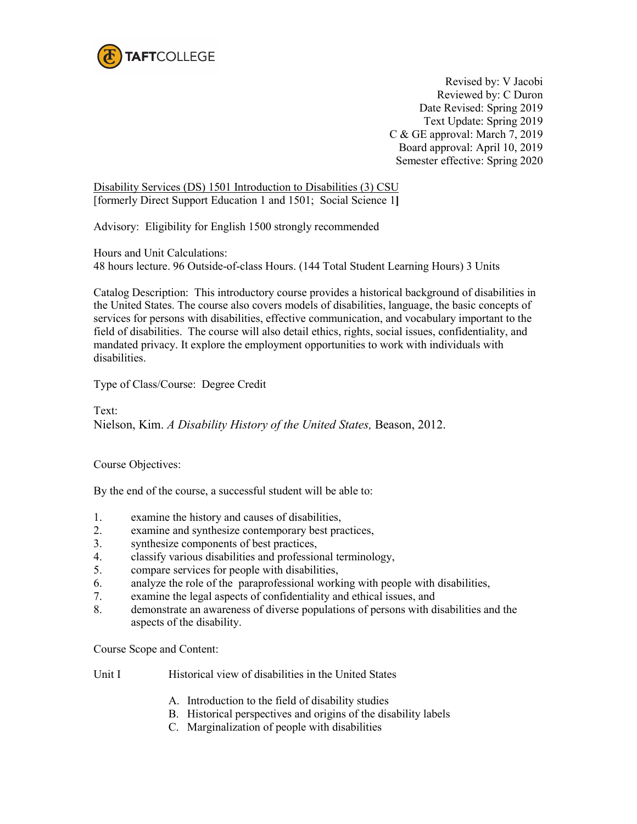

Revised by: V Jacobi Reviewed by: C Duron Date Revised: Spring 2019 Text Update: Spring 2019 C & GE approval: March 7, 2019 Board approval: April 10, 2019 Semester effective: Spring 2020

Disability Services (DS) 1501 Introduction to Disabilities (3) CSU [formerly Direct Support Education 1 and 1501; Social Science 1**]**

Advisory: Eligibility for English 1500 strongly recommended

Hours and Unit Calculations: 48 hours lecture. 96 Outside-of-class Hours. (144 Total Student Learning Hours) 3 Units

Catalog Description: This introductory course provides a historical background of disabilities in the United States. The course also covers models of disabilities, language, the basic concepts of services for persons with disabilities, effective communication, and vocabulary important to the field of disabilities. The course will also detail ethics, rights, social issues, confidentiality, and mandated privacy. It explore the employment opportunities to work with individuals with disabilities.

Type of Class/Course: Degree Credit

Text: Nielson, Kim. *A Disability History of the United States,* Beason, 2012.

Course Objectives:

By the end of the course, a successful student will be able to:

- 1. examine the history and causes of disabilities,
- 2. examine and synthesize contemporary best practices,<br>3. synthesize components of best practices.
- synthesize components of best practices,
- 4. classify various disabilities and professional terminology,
- 5. compare services for people with disabilities,
- 6. analyze the role of the paraprofessional working with people with disabilities,
- 7. examine the legal aspects of confidentiality and ethical issues, and
- 8. demonstrate an awareness of diverse populations of persons with disabilities and the aspects of the disability.

Course Scope and Content:

- Unit I Historical view of disabilities in the United States
	- A. Introduction to the field of disability studies
	- B. Historical perspectives and origins of the disability labels
	- C. Marginalization of people with disabilities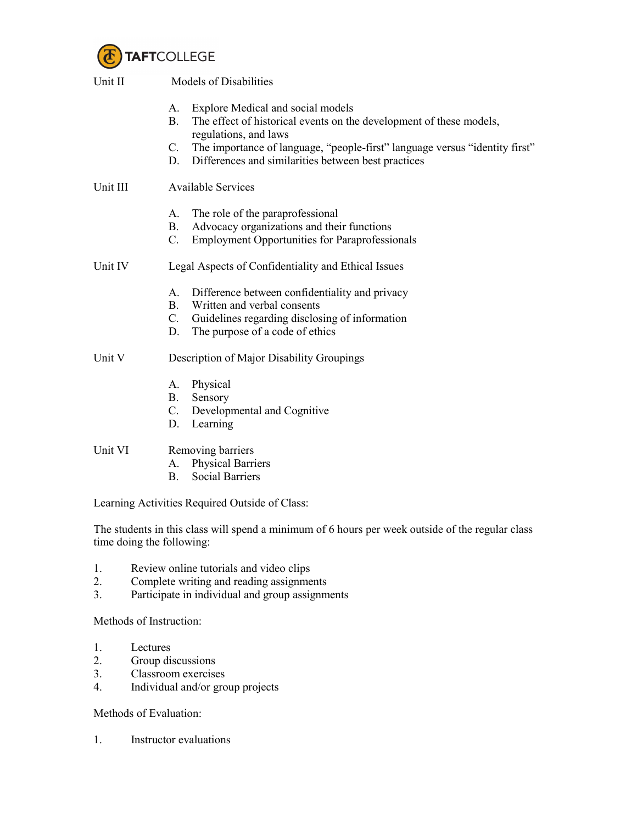

| Unit II  | <b>Models of Disabilities</b>                                                                                                                                                                              |  |
|----------|------------------------------------------------------------------------------------------------------------------------------------------------------------------------------------------------------------|--|
|          | Explore Medical and social models<br>А.<br>The effect of historical events on the development of these models,<br><b>B.</b><br>regulations, and laws                                                       |  |
|          | C. The importance of language, "people-first" language versus "identity first"<br>Differences and similarities between best practices<br>D.                                                                |  |
| Unit III | <b>Available Services</b>                                                                                                                                                                                  |  |
|          | The role of the paraprofessional<br>А.<br>Advocacy organizations and their functions<br><b>B.</b><br><b>Employment Opportunities for Paraprofessionals</b><br>$C_{\cdot}$                                  |  |
| Unit IV  | Legal Aspects of Confidentiality and Ethical Issues                                                                                                                                                        |  |
|          | Difference between confidentiality and privacy<br>А.<br><b>B.</b><br>Written and verbal consents<br>$C_{\cdot}$<br>Guidelines regarding disclosing of information<br>The purpose of a code of ethics<br>D. |  |
| Unit V   | Description of Major Disability Groupings                                                                                                                                                                  |  |
|          | Physical<br>А.<br><b>B.</b><br>Sensory<br>$C$ .<br>Developmental and Cognitive<br>Learning<br>D.                                                                                                           |  |
| Unit VI  | Removing barriers<br><b>Physical Barriers</b><br>А.<br><b>Social Barriers</b><br><b>B.</b>                                                                                                                 |  |
|          | Learning Activities Required Outside of Class:                                                                                                                                                             |  |

The students in this class will spend a minimum of 6 hours per week outside of the regular class time doing the following:

- 1. Review online tutorials and video clips
- 2. Complete writing and reading assignments
- 3. Participate in individual and group assignments

Methods of Instruction:

- 1. Lectures<br>2. Group dis
- Group discussions
- 3. Classroom exercises<br>4. Individual and/or gro
- 4. Individual and/or group projects

Methods of Evaluation:

1. Instructor evaluations